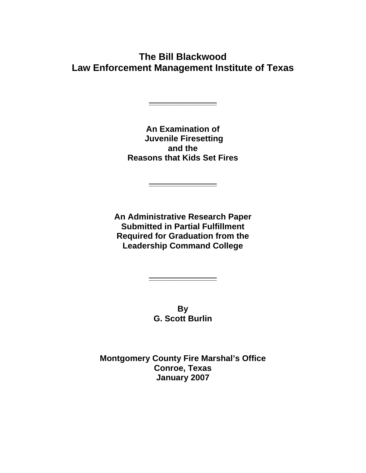**The Bill Blackwood Law Enforcement Management Institute of Texas** 

**\_\_\_\_\_\_\_\_\_\_\_\_\_\_\_\_\_**

**An Examination of Juvenile Firesetting and the Reasons that Kids Set Fires** 

**\_\_\_\_\_\_\_\_\_\_\_\_\_\_\_\_\_**

**An Administrative Research Paper Submitted in Partial Fulfillment Required for Graduation from the Leadership Command College**

> **By G. Scott Burlin**

**\_\_\_\_\_\_\_\_\_\_\_\_\_\_\_\_\_**

**Montgomery County Fire Marshal's Office Conroe, Texas January 2007**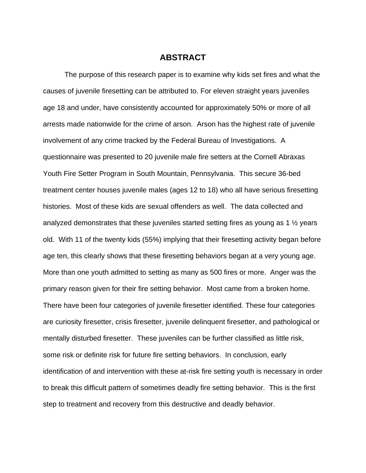### **ABSTRACT**

The purpose of this research paper is to examine why kids set fires and what the causes of juvenile firesetting can be attributed to. For eleven straight years juveniles age 18 and under, have consistently accounted for approximately 50% or more of all arrests made nationwide for the crime of arson. Arson has the highest rate of juvenile involvement of any crime tracked by the Federal Bureau of Investigations. A questionnaire was presented to 20 juvenile male fire setters at the Cornell Abraxas Youth Fire Setter Program in South Mountain, Pennsylvania. This secure 36-bed treatment center houses juvenile males (ages 12 to 18) who all have serious firesetting histories. Most of these kids are sexual offenders as well. The data collected and analyzed demonstrates that these juveniles started setting fires as young as 1 ½ years old. With 11 of the twenty kids (55%) implying that their firesetting activity began before age ten, this clearly shows that these firesetting behaviors began at a very young age. More than one youth admitted to setting as many as 500 fires or more. Anger was the primary reason given for their fire setting behavior. Most came from a broken home. There have been four categories of juvenile firesetter identified. These four categories are curiosity firesetter, crisis firesetter, juvenile delinquent firesetter, and pathological or mentally disturbed firesetter. These juveniles can be further classified as little risk, some risk or definite risk for future fire setting behaviors. In conclusion, early identification of and intervention with these at-risk fire setting youth is necessary in order to break this difficult pattern of sometimes deadly fire setting behavior. This is the first step to treatment and recovery from this destructive and deadly behavior.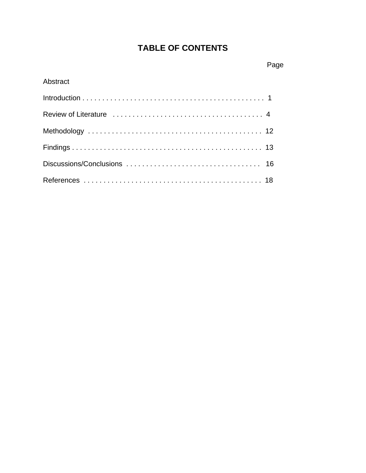# **TABLE OF CONTENTS**

# Abstract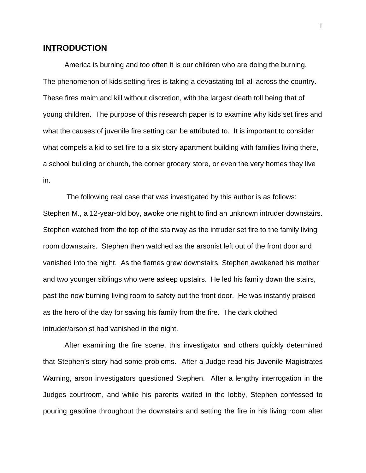## **INTRODUCTION**

 America is burning and too often it is our children who are doing the burning. The phenomenon of kids setting fires is taking a devastating toll all across the country. These fires maim and kill without discretion, with the largest death toll being that of young children. The purpose of this research paper is to examine why kids set fires and what the causes of juvenile fire setting can be attributed to. It is important to consider what compels a kid to set fire to a six story apartment building with families living there, a school building or church, the corner grocery store, or even the very homes they live in.

 The following real case that was investigated by this author is as follows: Stephen M., a 12-year-old boy, awoke one night to find an unknown intruder downstairs. Stephen watched from the top of the stairway as the intruder set fire to the family living room downstairs. Stephen then watched as the arsonist left out of the front door and vanished into the night. As the flames grew downstairs, Stephen awakened his mother and two younger siblings who were asleep upstairs. He led his family down the stairs, past the now burning living room to safety out the front door. He was instantly praised as the hero of the day for saving his family from the fire. The dark clothed intruder/arsonist had vanished in the night.

After examining the fire scene, this investigator and others quickly determined that Stephen's story had some problems. After a Judge read his Juvenile Magistrates Warning, arson investigators questioned Stephen. After a lengthy interrogation in the Judges courtroom, and while his parents waited in the lobby, Stephen confessed to pouring gasoline throughout the downstairs and setting the fire in his living room after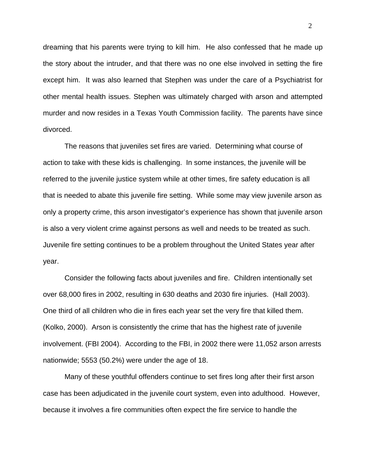dreaming that his parents were trying to kill him. He also confessed that he made up the story about the intruder, and that there was no one else involved in setting the fire except him. It was also learned that Stephen was under the care of a Psychiatrist for other mental health issues. Stephen was ultimately charged with arson and attempted murder and now resides in a Texas Youth Commission facility. The parents have since divorced.

 The reasons that juveniles set fires are varied. Determining what course of action to take with these kids is challenging. In some instances, the juvenile will be referred to the juvenile justice system while at other times, fire safety education is all that is needed to abate this juvenile fire setting. While some may view juvenile arson as only a property crime, this arson investigator's experience has shown that juvenile arson is also a very violent crime against persons as well and needs to be treated as such. Juvenile fire setting continues to be a problem throughout the United States year after year.

Consider the following facts about juveniles and fire. Children intentionally set over 68,000 fires in 2002, resulting in 630 deaths and 2030 fire injuries. (Hall 2003). One third of all children who die in fires each year set the very fire that killed them. (Kolko, 2000). Arson is consistently the crime that has the highest rate of juvenile involvement. (FBI 2004). According to the FBI, in 2002 there were 11,052 arson arrests nationwide; 5553 (50.2%) were under the age of 18.

Many of these youthful offenders continue to set fires long after their first arson case has been adjudicated in the juvenile court system, even into adulthood. However, because it involves a fire communities often expect the fire service to handle the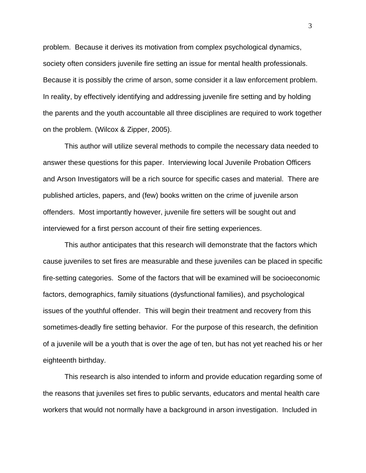problem. Because it derives its motivation from complex psychological dynamics, society often considers juvenile fire setting an issue for mental health professionals. Because it is possibly the crime of arson, some consider it a law enforcement problem. In reality, by effectively identifying and addressing juvenile fire setting and by holding the parents and the youth accountable all three disciplines are required to work together on the problem. (Wilcox & Zipper, 2005).

 This author will utilize several methods to compile the necessary data needed to answer these questions for this paper. Interviewing local Juvenile Probation Officers and Arson Investigators will be a rich source for specific cases and material. There are published articles, papers, and (few) books written on the crime of juvenile arson offenders. Most importantly however, juvenile fire setters will be sought out and interviewed for a first person account of their fire setting experiences.

 This author anticipates that this research will demonstrate that the factors which cause juveniles to set fires are measurable and these juveniles can be placed in specific fire-setting categories. Some of the factors that will be examined will be socioeconomic factors, demographics, family situations (dysfunctional families), and psychological issues of the youthful offender. This will begin their treatment and recovery from this sometimes-deadly fire setting behavior. For the purpose of this research, the definition of a juvenile will be a youth that is over the age of ten, but has not yet reached his or her eighteenth birthday.

 This research is also intended to inform and provide education regarding some of the reasons that juveniles set fires to public servants, educators and mental health care workers that would not normally have a background in arson investigation. Included in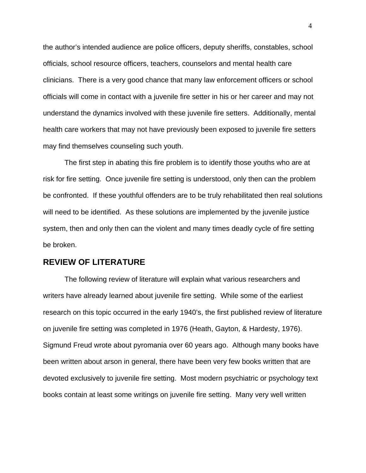the author's intended audience are police officers, deputy sheriffs, constables, school officials, school resource officers, teachers, counselors and mental health care clinicians. There is a very good chance that many law enforcement officers or school officials will come in contact with a juvenile fire setter in his or her career and may not understand the dynamics involved with these juvenile fire setters. Additionally, mental health care workers that may not have previously been exposed to juvenile fire setters may find themselves counseling such youth.

 The first step in abating this fire problem is to identify those youths who are at risk for fire setting. Once juvenile fire setting is understood, only then can the problem be confronted. If these youthful offenders are to be truly rehabilitated then real solutions will need to be identified. As these solutions are implemented by the juvenile justice system, then and only then can the violent and many times deadly cycle of fire setting be broken.

# **REVIEW OF LITERATURE**

 The following review of literature will explain what various researchers and writers have already learned about juvenile fire setting. While some of the earliest research on this topic occurred in the early 1940's, the first published review of literature on juvenile fire setting was completed in 1976 (Heath, Gayton, & Hardesty, 1976). Sigmund Freud wrote about pyromania over 60 years ago. Although many books have been written about arson in general, there have been very few books written that are devoted exclusively to juvenile fire setting. Most modern psychiatric or psychology text books contain at least some writings on juvenile fire setting. Many very well written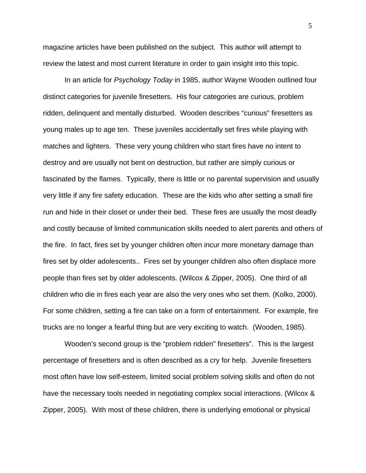magazine articles have been published on the subject. This author will attempt to review the latest and most current literature in order to gain insight into this topic.

 In an article for *Psychology Today* in 1985, author Wayne Wooden outlined four distinct categories for juvenile firesetters. His four categories are curious, problem ridden, delinquent and mentally disturbed. Wooden describes "curious" firesetters as young males up to age ten. These juveniles accidentally set fires while playing with matches and lighters. These very young children who start fires have no intent to destroy and are usually not bent on destruction, but rather are simply curious or fascinated by the flames. Typically, there is little or no parental supervision and usually very little if any fire safety education. These are the kids who after setting a small fire run and hide in their closet or under their bed. These fires are usually the most deadly and costly because of limited communication skills needed to alert parents and others of the fire. In fact, fires set by younger children often incur more monetary damage than fires set by older adolescents.. Fires set by younger children also often displace more people than fires set by older adolescents. (Wilcox & Zipper, 2005). One third of all children who die in fires each year are also the very ones who set them. (Kolko, 2000). For some children, setting a fire can take on a form of entertainment. For example, fire trucks are no longer a fearful thing but are very exciting to watch. (Wooden, 1985).

 Wooden's second group is the "problem ridden" firesetters". This is the largest percentage of firesetters and is often described as a cry for help. Juvenile firesetters most often have low self-esteem, limited social problem solving skills and often do not have the necessary tools needed in negotiating complex social interactions. (Wilcox & Zipper, 2005). With most of these children, there is underlying emotional or physical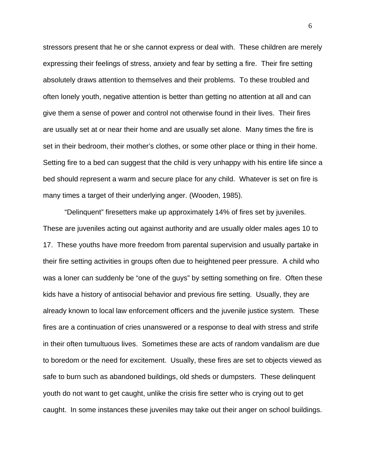stressors present that he or she cannot express or deal with. These children are merely expressing their feelings of stress, anxiety and fear by setting a fire. Their fire setting absolutely draws attention to themselves and their problems. To these troubled and often lonely youth, negative attention is better than getting no attention at all and can give them a sense of power and control not otherwise found in their lives. Their fires are usually set at or near their home and are usually set alone. Many times the fire is set in their bedroom, their mother's clothes, or some other place or thing in their home. Setting fire to a bed can suggest that the child is very unhappy with his entire life since a bed should represent a warm and secure place for any child. Whatever is set on fire is many times a target of their underlying anger. (Wooden, 1985).

 "Delinquent" firesetters make up approximately 14% of fires set by juveniles. These are juveniles acting out against authority and are usually older males ages 10 to 17. These youths have more freedom from parental supervision and usually partake in their fire setting activities in groups often due to heightened peer pressure. A child who was a loner can suddenly be "one of the guys" by setting something on fire. Often these kids have a history of antisocial behavior and previous fire setting. Usually, they are already known to local law enforcement officers and the juvenile justice system. These fires are a continuation of cries unanswered or a response to deal with stress and strife in their often tumultuous lives. Sometimes these are acts of random vandalism are due to boredom or the need for excitement. Usually, these fires are set to objects viewed as safe to burn such as abandoned buildings, old sheds or dumpsters. These delinquent youth do not want to get caught, unlike the crisis fire setter who is crying out to get caught. In some instances these juveniles may take out their anger on school buildings.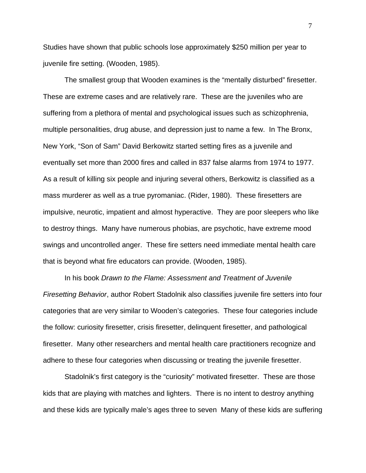Studies have shown that public schools lose approximately \$250 million per year to juvenile fire setting. (Wooden, 1985).

 The smallest group that Wooden examines is the "mentally disturbed" firesetter. These are extreme cases and are relatively rare. These are the juveniles who are suffering from a plethora of mental and psychological issues such as schizophrenia, multiple personalities, drug abuse, and depression just to name a few. In The Bronx, New York, "Son of Sam" David Berkowitz started setting fires as a juvenile and eventually set more than 2000 fires and called in 837 false alarms from 1974 to 1977. As a result of killing six people and injuring several others, Berkowitz is classified as a mass murderer as well as a true pyromaniac. (Rider, 1980). These firesetters are impulsive, neurotic, impatient and almost hyperactive. They are poor sleepers who like to destroy things. Many have numerous phobias, are psychotic, have extreme mood swings and uncontrolled anger. These fire setters need immediate mental health care that is beyond what fire educators can provide. (Wooden, 1985).

 In his book *Drawn to the Flame: Assessment and Treatment of Juvenile Firesetting Behavior*, author Robert Stadolnik also classifies juvenile fire setters into four categories that are very similar to Wooden's categories. These four categories include the follow: curiosity firesetter, crisis firesetter, delinquent firesetter, and pathological firesetter. Many other researchers and mental health care practitioners recognize and adhere to these four categories when discussing or treating the juvenile firesetter.

 Stadolnik's first category is the "curiosity" motivated firesetter. These are those kids that are playing with matches and lighters. There is no intent to destroy anything and these kids are typically male's ages three to seven Many of these kids are suffering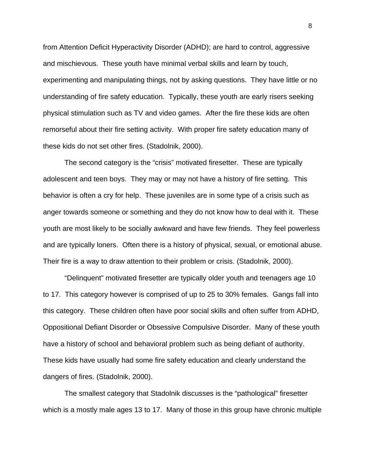from Attention Deficit Hyperactivity Disorder (ADHD); are hard to control, aggressive and mischievous. These youth have minimal verbal skills and learn by touch, experimenting and manipulating things, not by asking questions. They have little or no understanding of fire safety education. Typically, these youth are early risers seeking physical stimulation such as TV and video games. After the fire these kids are often remorseful about their fire setting activity. With proper fire safety education many of these kids do not set other fires. (Stadolnik, 2000).

 The second category is the "crisis" motivated firesetter. These are typically adolescent and teen boys. They may or may not have a history of fire setting. This behavior is often a cry for help. These juveniles are in some type of a crisis such as anger towards someone or something and they do not know how to deal with it. These youth are most likely to be socially awkward and have few friends. They feel powerless and are typically loners. Often there is a history of physical, sexual, or emotional abuse. Their fire is a way to draw attention to their problem or crisis. (Stadolnik, 2000).

 "Delinquent" motivated firesetter are typically older youth and teenagers age 10 to 17. This category however is comprised of up to 25 to 30% females. Gangs fall into this category. These children often have poor social skills and often suffer from ADHD, Oppositional Defiant Disorder or Obsessive Compulsive Disorder. Many of these youth have a history of school and behavioral problem such as being defiant of authority. These kids have usually had some fire safety education and clearly understand the dangers of fires. (Stadolnik, 2000).

 The smallest category that Stadolnik discusses is the "pathological" firesetter which is a mostly male ages 13 to 17. Many of those in this group have chronic multiple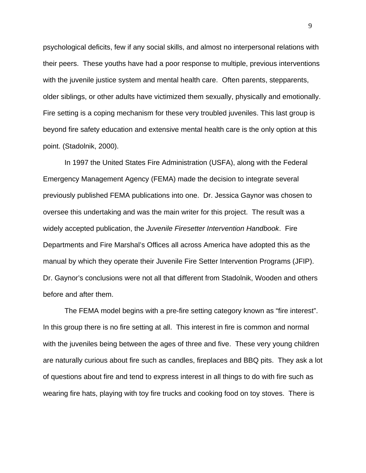psychological deficits, few if any social skills, and almost no interpersonal relations with their peers. These youths have had a poor response to multiple, previous interventions with the juvenile justice system and mental health care. Often parents, stepparents, older siblings, or other adults have victimized them sexually, physically and emotionally. Fire setting is a coping mechanism for these very troubled juveniles. This last group is beyond fire safety education and extensive mental health care is the only option at this point. (Stadolnik, 2000).

 In 1997 the United States Fire Administration (USFA), along with the Federal Emergency Management Agency (FEMA) made the decision to integrate several previously published FEMA publications into one. Dr. Jessica Gaynor was chosen to oversee this undertaking and was the main writer for this project. The result was a widely accepted publication, the *Juvenile Firesetter Intervention Handbook*. Fire Departments and Fire Marshal's Offices all across America have adopted this as the manual by which they operate their Juvenile Fire Setter Intervention Programs (JFIP). Dr. Gaynor's conclusions were not all that different from Stadolnik, Wooden and others before and after them.

The FEMA model begins with a pre-fire setting category known as "fire interest". In this group there is no fire setting at all. This interest in fire is common and normal with the juveniles being between the ages of three and five. These very young children are naturally curious about fire such as candles, fireplaces and BBQ pits. They ask a lot of questions about fire and tend to express interest in all things to do with fire such as wearing fire hats, playing with toy fire trucks and cooking food on toy stoves. There is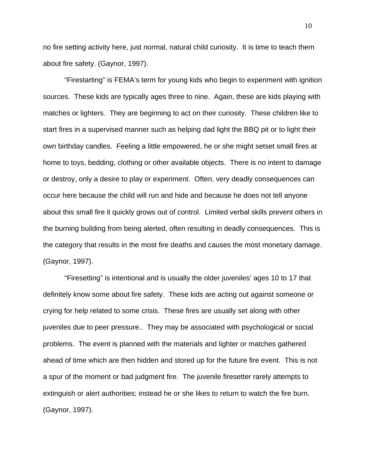no fire setting activity here, just normal, natural child curiosity. It is time to teach them about fire safety. (Gaynor, 1997).

"Firestarting" is FEMA's term for young kids who begin to experiment with ignition sources. These kids are typically ages three to nine. Again, these are kids playing with matches or lighters. They are beginning to act on their curiosity. These children like to start fires in a supervised manner such as helping dad light the BBQ pit or to light their own birthday candles. Feeling a little empowered, he or she might setset small fires at home to toys, bedding, clothing or other available objects. There is no intent to damage or destroy, only a desire to play or experiment. Often, very deadly consequences can occur here because the child will run and hide and because he does not tell anyone about this small fire it quickly grows out of control. Limited verbal skills prevent others in the burning building from being alerted, often resulting in deadly consequences. This is the category that results in the most fire deaths and causes the most monetary damage. (Gaynor, 1997).

 "Firesetting" is intentional and is usually the older juveniles' ages 10 to 17 that definitely know some about fire safety. These kids are acting out against someone or crying for help related to some crisis. These fires are usually set along with other juveniles due to peer pressure.. They may be associated with psychological or social problems. The event is planned with the materials and lighter or matches gathered ahead of time which are then hidden and stored up for the future fire event. This is not a spur of the moment or bad judgment fire. The juvenile firesetter rarely attempts to extinguish or alert authorities; instead he or she likes to return to watch the fire burn. (Gaynor, 1997).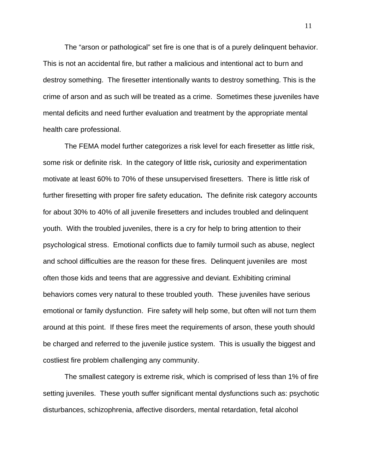The "arson or pathological" set fire is one that is of a purely delinquent behavior. This is not an accidental fire, but rather a malicious and intentional act to burn and destroy something. The firesetter intentionally wants to destroy something. This is the crime of arson and as such will be treated as a crime. Sometimes these juveniles have mental deficits and need further evaluation and treatment by the appropriate mental health care professional.

 The FEMA model further categorizes a risk level for each firesetter as little risk, some risk or definite risk. In the category of little risk**,** curiosity and experimentation motivate at least 60% to 70% of these unsupervised firesetters. There is little risk of further firesetting with proper fire safety education**.** The definite risk category accounts for about 30% to 40% of all juvenile firesetters and includes troubled and delinquent youth. With the troubled juveniles, there is a cry for help to bring attention to their psychological stress. Emotional conflicts due to family turmoil such as abuse, neglect and school difficulties are the reason for these fires. Delinquent juveniles are most often those kids and teens that are aggressive and deviant. Exhibiting criminal behaviors comes very natural to these troubled youth. These juveniles have serious emotional or family dysfunction. Fire safety will help some, but often will not turn them around at this point. If these fires meet the requirements of arson, these youth should be charged and referred to the juvenile justice system. This is usually the biggest and costliest fire problem challenging any community.

The smallest category is extreme risk, which is comprised of less than 1% of fire setting juveniles. These youth suffer significant mental dysfunctions such as: psychotic disturbances, schizophrenia, affective disorders, mental retardation, fetal alcohol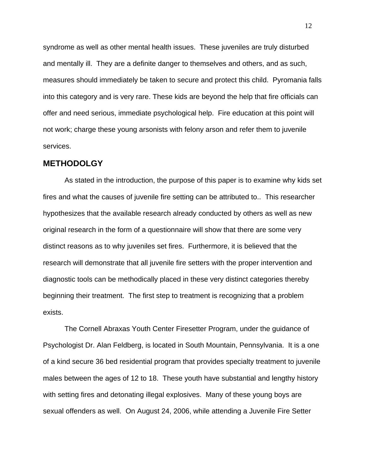syndrome as well as other mental health issues. These juveniles are truly disturbed and mentally ill. They are a definite danger to themselves and others, and as such, measures should immediately be taken to secure and protect this child. Pyromania falls into this category and is very rare. These kids are beyond the help that fire officials can offer and need serious, immediate psychological help. Fire education at this point will not work; charge these young arsonists with felony arson and refer them to juvenile services.

#### **METHODOLGY**

 As stated in the introduction, the purpose of this paper is to examine why kids set fires and what the causes of juvenile fire setting can be attributed to.. This researcher hypothesizes that the available research already conducted by others as well as new original research in the form of a questionnaire will show that there are some very distinct reasons as to why juveniles set fires. Furthermore, it is believed that the research will demonstrate that all juvenile fire setters with the proper intervention and diagnostic tools can be methodically placed in these very distinct categories thereby beginning their treatment. The first step to treatment is recognizing that a problem exists.

 The Cornell Abraxas Youth Center Firesetter Program, under the guidance of Psychologist Dr. Alan Feldberg, is located in South Mountain, Pennsylvania. It is a one of a kind secure 36 bed residential program that provides specialty treatment to juvenile males between the ages of 12 to 18. These youth have substantial and lengthy history with setting fires and detonating illegal explosives. Many of these young boys are sexual offenders as well. On August 24, 2006, while attending a Juvenile Fire Setter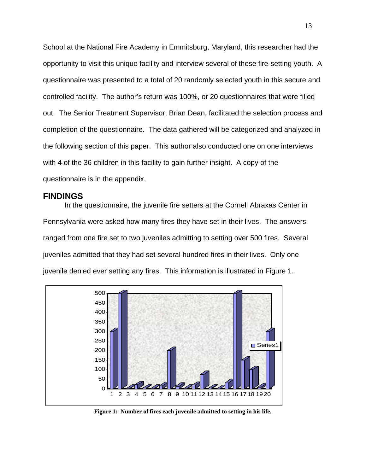School at the National Fire Academy in Emmitsburg, Maryland, this researcher had the opportunity to visit this unique facility and interview several of these fire-setting youth. A questionnaire was presented to a total of 20 randomly selected youth in this secure and controlled facility. The author's return was 100%, or 20 questionnaires that were filled out. The Senior Treatment Supervisor, Brian Dean, facilitated the selection process and completion of the questionnaire. The data gathered will be categorized and analyzed in the following section of this paper. This author also conducted one on one interviews with 4 of the 36 children in this facility to gain further insight. A copy of the questionnaire is in the appendix.

### **FINDINGS**

In the questionnaire, the juvenile fire setters at the Cornell Abraxas Center in Pennsylvania were asked how many fires they have set in their lives. The answers ranged from one fire set to two juveniles admitting to setting over 500 fires. Several juveniles admitted that they had set several hundred fires in their lives. Only one juvenile denied ever setting any fires. This information is illustrated in Figure 1.



**Figure 1: Number of fires each juvenile admitted to setting in his life.**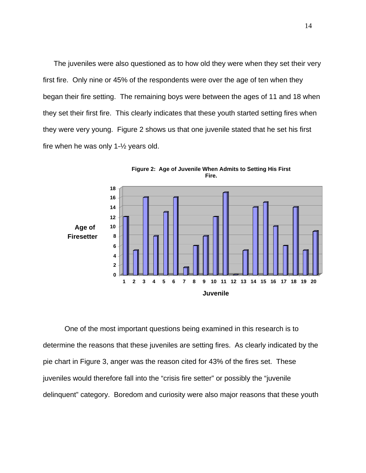The juveniles were also questioned as to how old they were when they set their very first fire. Only nine or 45% of the respondents were over the age of ten when they began their fire setting. The remaining boys were between the ages of 11 and 18 when they set their first fire. This clearly indicates that these youth started setting fires when they were very young. Figure 2 shows us that one juvenile stated that he set his first fire when he was only  $1-\frac{1}{2}$  years old.



 One of the most important questions being examined in this research is to determine the reasons that these juveniles are setting fires. As clearly indicated by the pie chart in Figure 3, anger was the reason cited for 43% of the fires set. These juveniles would therefore fall into the "crisis fire setter" or possibly the "juvenile delinquent" category. Boredom and curiosity were also major reasons that these youth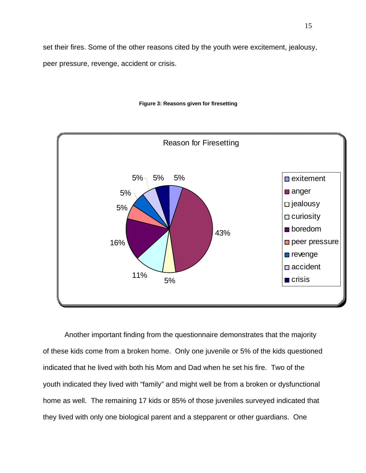set their fires. Some of the other reasons cited by the youth were excitement, jealousy, peer pressure, revenge, accident or crisis.





5%

16%

5%

5%



43%

 $5\%$   $5\%$   $5\%$ 

indicated that he lived with both his Mom and Dad when he set his fire. Two of the youth indicated they lived with "family" and might well be from a broken or dysfunctional home as well. The remaining 17 kids or 85% of those juveniles surveyed indicated that they lived with only one biological parent and a stepparent or other guardians. One

anger

 $\square$  jealousy

 $\Box$  curiosity

**De** boredom

peer pressure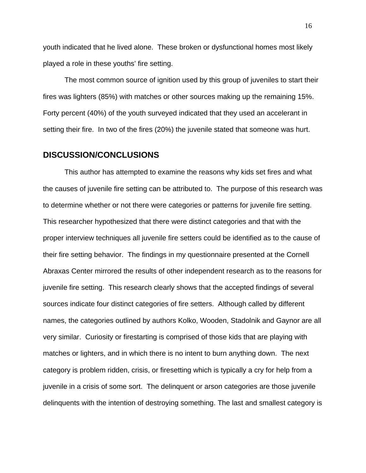youth indicated that he lived alone. These broken or dysfunctional homes most likely played a role in these youths' fire setting.

 The most common source of ignition used by this group of juveniles to start their fires was lighters (85%) with matches or other sources making up the remaining 15%. Forty percent (40%) of the youth surveyed indicated that they used an accelerant in setting their fire. In two of the fires (20%) the juvenile stated that someone was hurt.

### **DISCUSSION/CONCLUSIONS**

This author has attempted to examine the reasons why kids set fires and what the causes of juvenile fire setting can be attributed to. The purpose of this research was to determine whether or not there were categories or patterns for juvenile fire setting. This researcher hypothesized that there were distinct categories and that with the proper interview techniques all juvenile fire setters could be identified as to the cause of their fire setting behavior. The findings in my questionnaire presented at the Cornell Abraxas Center mirrored the results of other independent research as to the reasons for juvenile fire setting. This research clearly shows that the accepted findings of several sources indicate four distinct categories of fire setters. Although called by different names, the categories outlined by authors Kolko, Wooden, Stadolnik and Gaynor are all very similar. Curiosity or firestarting is comprised of those kids that are playing with matches or lighters, and in which there is no intent to burn anything down. The next category is problem ridden, crisis, or firesetting which is typically a cry for help from a juvenile in a crisis of some sort. The delinquent or arson categories are those juvenile delinquents with the intention of destroying something. The last and smallest category is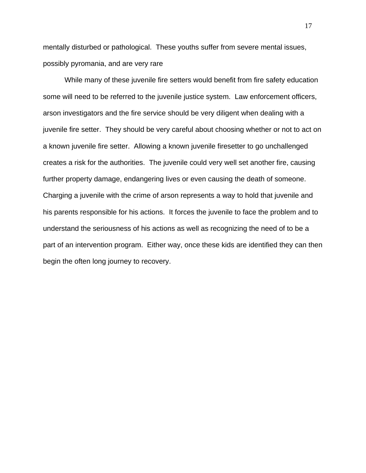mentally disturbed or pathological. These youths suffer from severe mental issues, possibly pyromania, and are very rare

 While many of these juvenile fire setters would benefit from fire safety education some will need to be referred to the juvenile justice system. Law enforcement officers, arson investigators and the fire service should be very diligent when dealing with a juvenile fire setter. They should be very careful about choosing whether or not to act on a known juvenile fire setter. Allowing a known juvenile firesetter to go unchallenged creates a risk for the authorities. The juvenile could very well set another fire, causing further property damage, endangering lives or even causing the death of someone. Charging a juvenile with the crime of arson represents a way to hold that juvenile and his parents responsible for his actions. It forces the juvenile to face the problem and to understand the seriousness of his actions as well as recognizing the need of to be a part of an intervention program. Either way, once these kids are identified they can then begin the often long journey to recovery.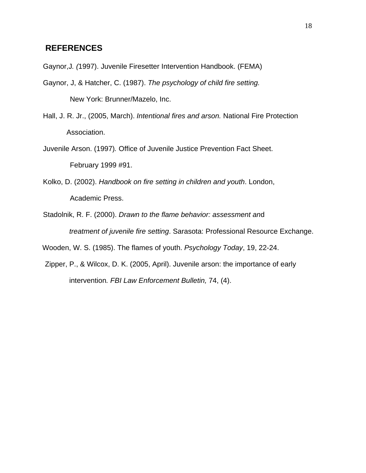## **REFERENCES**

Gaynor,J*. (*1997). Juvenile Firesetter Intervention Handbook. (FEMA)

- Gaynor, J, & Hatcher, C. (1987). *The psychology of child fire setting.* New York: Brunner/Mazelo, Inc.
- Hall, J. R. Jr., (2005, March). *Intentional fires and arson.* National Fire Protection Association.
- Juvenile Arson. (1997)*.* Office of Juvenile Justice Prevention Fact Sheet. February 1999 #91.
- Kolko, D. (2002). *Handbook on fire setting in children and youth*. London, Academic Press.
- Stadolnik, R. F. (2000). *Drawn to the flame behavior: assessment an*d *treatment of juvenile fire setting*. Sarasota: Professional Resource Exchange.

Wooden, W. S. (1985). The flames of youth. *Psychology Today*, 19, 22-24.

Zipper, P., & Wilcox, D. K. (2005, April). Juvenile arson: the importance of early intervention*. FBI Law Enforcement Bulletin,* 74, (4).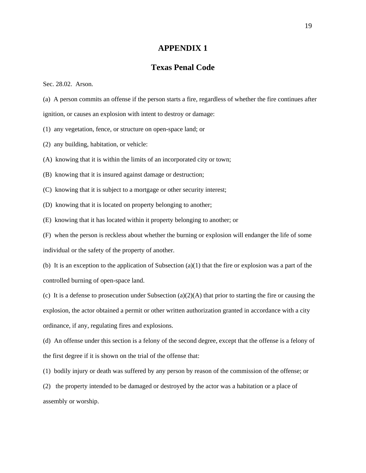#### **APPENDIX 1**

## **Texas Penal Code**

Sec. 28.02. Arson.

(a) A person commits an offense if the person starts a fire, regardless of whether the fire continues after ignition, or causes an explosion with intent to destroy or damage:

(1) any vegetation, fence, or structure on open-space land; or

(2) any building, habitation, or vehicle:

(A) knowing that it is within the limits of an incorporated city or town;

- (B) knowing that it is insured against damage or destruction;
- (C) knowing that it is subject to a mortgage or other security interest;
- (D) knowing that it is located on property belonging to another;
- (E) knowing that it has located within it property belonging to another; or

(F) when the person is reckless about whether the burning or explosion will endanger the life of some individual or the safety of the property of another.

(b) It is an exception to the application of Subsection  $(a)(1)$  that the fire or explosion was a part of the controlled burning of open-space land.

(c) It is a defense to prosecution under Subsection (a)(2)(A) that prior to starting the fire or causing the explosion, the actor obtained a permit or other written authorization granted in accordance with a city ordinance, if any, regulating fires and explosions.

(d) An offense under this section is a felony of the second degree, except that the offense is a felony of the first degree if it is shown on the trial of the offense that:

(1) bodily injury or death was suffered by any person by reason of the commission of the offense; or

(2) the property intended to be damaged or destroyed by the actor was a habitation or a place of assembly or worship.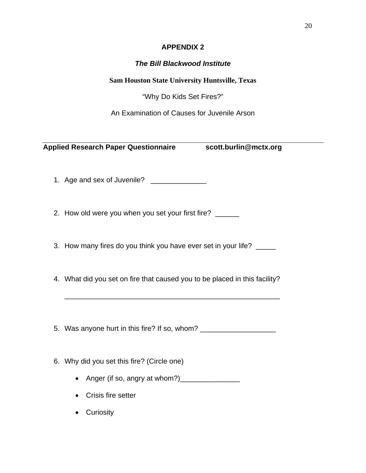# **APPENDIX 2**

# *The Bill Blackwood Institute*

**Sam Houston State University Huntsville, Texas** 

"Why Do Kids Set Fires?"

An Examination of Causes for Juvenile Arson

**Applied Research Paper Questionnaire scott.burlin@mctx.org** 

1. Age and sex of Juvenile? \_\_\_\_\_\_\_\_\_\_\_\_\_\_\_

2. How old were you when you set your first fire? \_\_\_\_\_

3. How many fires do you think you have ever set in your life? \_\_\_\_\_

4. What did you set on fire that caused you to be placed in this facility?

\_\_\_\_\_\_\_\_\_\_\_\_\_\_\_\_\_\_\_\_\_\_\_\_\_\_\_\_\_\_\_\_\_\_\_\_\_\_\_\_\_\_\_\_\_\_\_\_\_\_\_\_\_\_

5. Was anyone hurt in this fire? If so, whom? \_\_\_\_\_\_\_\_\_\_\_\_\_\_\_\_\_\_\_\_\_\_\_\_\_\_\_\_\_\_\_\_\_\_

6. Why did you set this fire? (Circle one)

- Anger (if so, angry at whom?)\_\_\_\_\_\_\_\_\_\_\_\_\_\_\_
- Crisis fire setter
- Curiosity